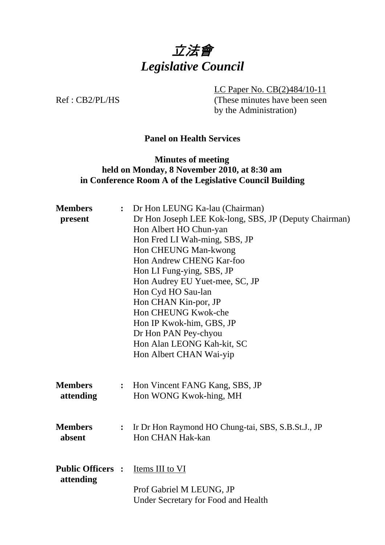

LC Paper No. CB(2)484/10-11

Ref : CB2/PL/HS (These minutes have been seen by the Administration)

# **Panel on Health Services**

## **Minutes of meeting held on Monday, 8 November 2010, at 8:30 am in Conference Room A of the Legislative Council Building**

| <b>Members</b>                                  |                | : Dr Hon LEUNG Ka-lau (Chairman)                      |  |  |
|-------------------------------------------------|----------------|-------------------------------------------------------|--|--|
| present                                         |                | Dr Hon Joseph LEE Kok-long, SBS, JP (Deputy Chairman) |  |  |
|                                                 |                | Hon Albert HO Chun-yan                                |  |  |
|                                                 |                | Hon Fred LI Wah-ming, SBS, JP                         |  |  |
|                                                 |                | Hon CHEUNG Man-kwong                                  |  |  |
|                                                 |                | Hon Andrew CHENG Kar-foo                              |  |  |
|                                                 |                | Hon LI Fung-ying, SBS, JP                             |  |  |
|                                                 |                | Hon Audrey EU Yuet-mee, SC, JP                        |  |  |
|                                                 |                | Hon Cyd HO Sau-lan                                    |  |  |
|                                                 |                | Hon CHAN Kin-por, JP                                  |  |  |
|                                                 |                | Hon CHEUNG Kwok-che                                   |  |  |
|                                                 |                | Hon IP Kwok-him, GBS, JP                              |  |  |
|                                                 |                | Dr Hon PAN Pey-chyou                                  |  |  |
|                                                 |                | Hon Alan LEONG Kah-kit, SC                            |  |  |
|                                                 |                | Hon Albert CHAN Wai-yip                               |  |  |
|                                                 |                |                                                       |  |  |
| <b>Members</b>                                  | $\ddot{\cdot}$ | Hon Vincent FANG Kang, SBS, JP                        |  |  |
| attending                                       |                | Hon WONG Kwok-hing, MH                                |  |  |
|                                                 |                |                                                       |  |  |
|                                                 |                |                                                       |  |  |
| <b>Members</b>                                  | $\ddot{\cdot}$ | Ir Dr Hon Raymond HO Chung-tai, SBS, S.B.St.J., JP    |  |  |
| absent                                          |                | Hon CHAN Hak-kan                                      |  |  |
|                                                 |                |                                                       |  |  |
| <b>Public Officers :</b> <u>Items III to VI</u> |                |                                                       |  |  |
| attending                                       |                |                                                       |  |  |
|                                                 |                | Prof Gabriel M LEUNG, JP                              |  |  |
|                                                 |                | <b>Under Secretary for Food and Health</b>            |  |  |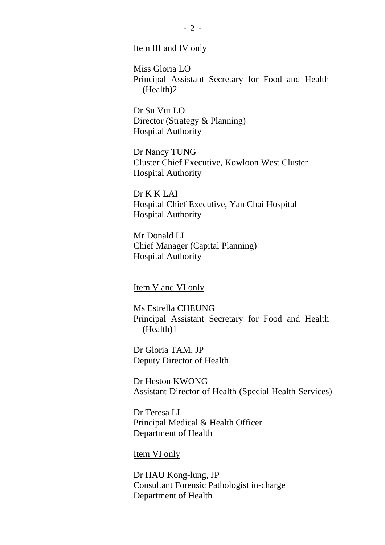#### Item III and IV only

Miss Gloria LO Principal Assistant Secretary for Food and Health (Health)2

Dr Su Vui LO Director (Strategy & Planning) Hospital Authority

Dr Nancy TUNG Cluster Chief Executive, Kowloon West Cluster Hospital Authority

Dr K K LAI Hospital Chief Executive, Yan Chai Hospital Hospital Authority

Mr Donald LI Chief Manager (Capital Planning) Hospital Authority

#### Item V and VI only

Ms Estrella CHEUNG Principal Assistant Secretary for Food and Health (Health)1

Dr Gloria TAM, JP Deputy Director of Health

Dr Heston KWONG Assistant Director of Health (Special Health Services)

Dr Teresa LI Principal Medical & Health Officer Department of Health

Item VI only

Dr HAU Kong-lung, JP Consultant Forensic Pathologist in-charge Department of Health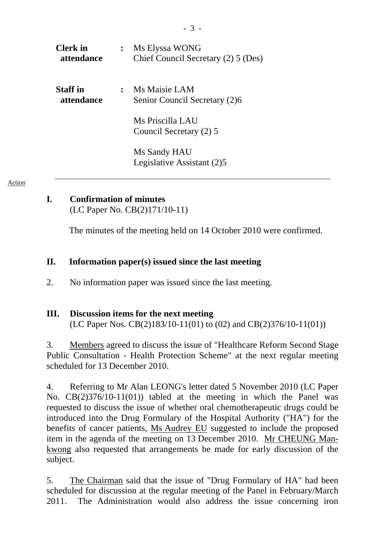| <b>Clerk</b> in<br><b>attendance</b> | $\ddot{\cdot}$ | Ms Elyssa WONG<br>Chief Council Secretary (2) 5 (Des) |
|--------------------------------------|----------------|-------------------------------------------------------|
| <b>Staff</b> in<br><i>attendance</i> |                | Ms Maisie LAM<br>Senior Council Secretary (2)6        |
|                                      |                | Ms Priscilla LAU<br>Council Secretary (2) 5           |
|                                      |                | Ms Sandy HAU<br>Legislative Assistant (2)5            |

Action

# **I. Confirmation of minutes**

(LC Paper No. CB(2)171/10-11)

The minutes of the meeting held on 14 October 2010 were confirmed.

#### **II. Information paper(s) issued since the last meeting**

2. No information paper was issued since the last meeting.

#### **III. Discussion items for the next meeting**

(LC Paper Nos. CB(2)183/10-11(01) to (02) and CB(2)376/10-11(01))

3. Members agreed to discuss the issue of "Healthcare Reform Second Stage Public Consultation - Health Protection Scheme" at the next regular meeting scheduled for 13 December 2010.

4. Referring to Mr Alan LEONG's letter dated 5 November 2010 (LC Paper No. CB(2)376/10-11(01)) tabled at the meeting in which the Panel was requested to discuss the issue of whether oral chemotherapeutic drugs could be introduced into the Drug Formulary of the Hospital Authority ("HA") for the benefits of cancer patients, Ms Audrey EU suggested to include the proposed item in the agenda of the meeting on 13 December 2010. Mr CHEUNG Mankwong also requested that arrangements be made for early discussion of the subject.

5. The Chairman said that the issue of "Drug Formulary of HA" had been scheduled for discussion at the regular meeting of the Panel in February/March 2011. The Administration would also address the issue concerning iron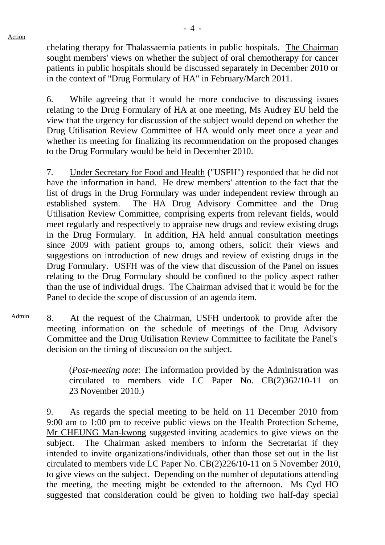chelating therapy for Thalassaemia patients in public hospitals. The Chairman sought members' views on whether the subject of oral chemotherapy for cancer patients in public hospitals should be discussed separately in December 2010 or in the context of "Drug Formulary of HA" in February/March 2011.

6. While agreeing that it would be more conducive to discussing issues relating to the Drug Formulary of HA at one meeting, Ms Audrey EU held the view that the urgency for discussion of the subject would depend on whether the Drug Utilisation Review Committee of HA would only meet once a year and whether its meeting for finalizing its recommendation on the proposed changes to the Drug Formulary would be held in December 2010.

7. Under Secretary for Food and Health ("USFH") responded that he did not have the information in hand. He drew members' attention to the fact that the list of drugs in the Drug Formulary was under independent review through an established system. The HA Drug Advisory Committee and the Drug Utilisation Review Committee, comprising experts from relevant fields, would meet regularly and respectively to appraise new drugs and review existing drugs in the Drug Formulary. In addition, HA held annual consultation meetings since 2009 with patient groups to, among others, solicit their views and suggestions on introduction of new drugs and review of existing drugs in the Drug Formulary. USFH was of the view that discussion of the Panel on issues relating to the Drug Formulary should be confined to the policy aspect rather than the use of individual drugs. The Chairman advised that it would be for the Panel to decide the scope of discussion of an agenda item.

Admin 8. At the request of the Chairman, USFH undertook to provide after the meeting information on the schedule of meetings of the Drug Advisory Committee and the Drug Utilisation Review Committee to facilitate the Panel's decision on the timing of discussion on the subject.

> (*Post-meeting note*: The information provided by the Administration was circulated to members vide LC Paper No. CB(2)362/10-11 on 23 November 2010.)

9. As regards the special meeting to be held on 11 December 2010 from 9:00 am to 1:00 pm to receive public views on the Health Protection Scheme, Mr CHEUNG Man-kwong suggested inviting academics to give views on the subject. The Chairman asked members to inform the Secretariat if they intended to invite organizations/individuals, other than those set out in the list circulated to members vide LC Paper No. CB(2)226/10-11 on 5 November 2010, to give views on the subject. Depending on the number of deputations attending the meeting, the meeting might be extended to the afternoon. Ms Cyd HO suggested that consideration could be given to holding two half-day special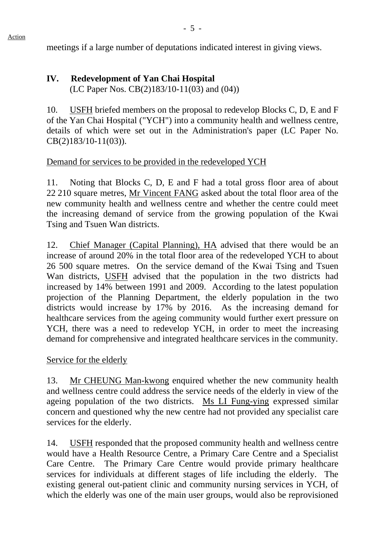# meetings if a large number of deputations indicated interest in giving views.

# **IV. Redevelopment of Yan Chai Hospital**

(LC Paper Nos. CB(2)183/10-11(03) and (04))

10. USFH briefed members on the proposal to redevelop Blocks C, D, E and F of the Yan Chai Hospital ("YCH") into a community health and wellness centre, details of which were set out in the Administration's paper (LC Paper No. CB(2)183/10-11(03)).

# Demand for services to be provided in the redeveloped YCH

11. Noting that Blocks C, D, E and F had a total gross floor area of about 22 210 square metres, Mr Vincent FANG asked about the total floor area of the new community health and wellness centre and whether the centre could meet the increasing demand of service from the growing population of the Kwai Tsing and Tsuen Wan districts.

12. Chief Manager (Capital Planning), HA advised that there would be an increase of around 20% in the total floor area of the redeveloped YCH to about 26 500 square metres. On the service demand of the Kwai Tsing and Tsuen Wan districts, USFH advised that the population in the two districts had increased by 14% between 1991 and 2009. According to the latest population projection of the Planning Department, the elderly population in the two districts would increase by 17% by 2016. As the increasing demand for healthcare services from the ageing community would further exert pressure on YCH, there was a need to redevelop YCH, in order to meet the increasing demand for comprehensive and integrated healthcare services in the community.

# Service for the elderly

13. Mr CHEUNG Man-kwong enquired whether the new community health and wellness centre could address the service needs of the elderly in view of the ageing population of the two districts. Ms LI Fung-ying expressed similar concern and questioned why the new centre had not provided any specialist care services for the elderly.

14. USFH responded that the proposed community health and wellness centre would have a Health Resource Centre, a Primary Care Centre and a Specialist Care Centre. The Primary Care Centre would provide primary healthcare services for individuals at different stages of life including the elderly. The existing general out-patient clinic and community nursing services in YCH, of which the elderly was one of the main user groups, would also be reprovisioned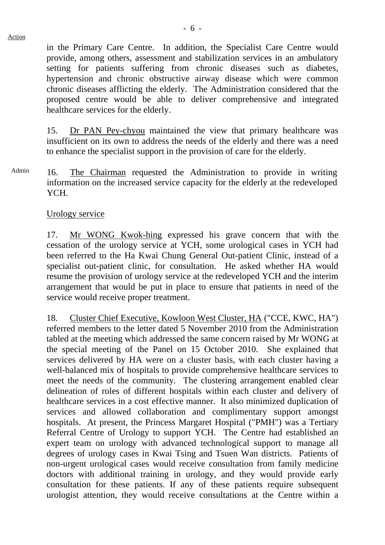in the Primary Care Centre. In addition, the Specialist Care Centre would provide, among others, assessment and stabilization services in an ambulatory setting for patients suffering from chronic diseases such as diabetes, hypertension and chronic obstructive airway disease which were common chronic diseases afflicting the elderly. The Administration considered that the proposed centre would be able to deliver comprehensive and integrated healthcare services for the elderly.

15. Dr PAN Pey-chyou maintained the view that primary healthcare was insufficient on its own to address the needs of the elderly and there was a need to enhance the specialist support in the provision of care for the elderly.

Admin 16. The Chairman requested the Administration to provide in writing information on the increased service capacity for the elderly at the redeveloped YCH.

## Urology service

17. Mr WONG Kwok-hing expressed his grave concern that with the cessation of the urology service at YCH, some urological cases in YCH had been referred to the Ha Kwai Chung General Out-patient Clinic, instead of a specialist out-patient clinic, for consultation. He asked whether HA would resume the provision of urology service at the redeveloped YCH and the interim arrangement that would be put in place to ensure that patients in need of the service would receive proper treatment.

18. Cluster Chief Executive, Kowloon West Cluster, HA ("CCE, KWC, HA") referred members to the letter dated 5 November 2010 from the Administration tabled at the meeting which addressed the same concern raised by Mr WONG at the special meeting of the Panel on 15 October 2010. She explained that services delivered by HA were on a cluster basis, with each cluster having a well-balanced mix of hospitals to provide comprehensive healthcare services to meet the needs of the community. The clustering arrangement enabled clear delineation of roles of different hospitals within each cluster and delivery of healthcare services in a cost effective manner. It also minimized duplication of services and allowed collaboration and complimentary support amongst hospitals. At present, the Princess Margaret Hospital ("PMH") was a Tertiary Referral Centre of Urology to support YCH. The Centre had established an expert team on urology with advanced technological support to manage all degrees of urology cases in Kwai Tsing and Tsuen Wan districts. Patients of non-urgent urological cases would receive consultation from family medicine doctors with additional training in urology, and they would provide early consultation for these patients. If any of these patients require subsequent urologist attention, they would receive consultations at the Centre within a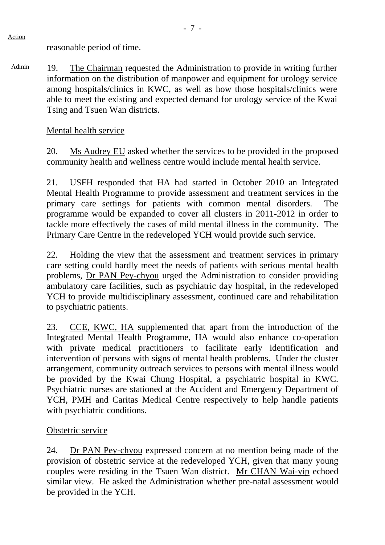reasonable period of time.

Admin 19. The Chairman requested the Administration to provide in writing further information on the distribution of manpower and equipment for urology service among hospitals/clinics in KWC, as well as how those hospitals/clinics were able to meet the existing and expected demand for urology service of the Kwai Tsing and Tsuen Wan districts.

#### Mental health service

20. Ms Audrey EU asked whether the services to be provided in the proposed community health and wellness centre would include mental health service.

21. USFH responded that HA had started in October 2010 an Integrated Mental Health Programme to provide assessment and treatment services in the primary care settings for patients with common mental disorders. The programme would be expanded to cover all clusters in 2011-2012 in order to tackle more effectively the cases of mild mental illness in the community. The Primary Care Centre in the redeveloped YCH would provide such service.

22. Holding the view that the assessment and treatment services in primary care setting could hardly meet the needs of patients with serious mental health problems, Dr PAN Pey-chyou urged the Administration to consider providing ambulatory care facilities, such as psychiatric day hospital, in the redeveloped YCH to provide multidisciplinary assessment, continued care and rehabilitation to psychiatric patients.

23. CCE, KWC, HA supplemented that apart from the introduction of the Integrated Mental Health Programme, HA would also enhance co-operation with private medical practitioners to facilitate early identification and intervention of persons with signs of mental health problems. Under the cluster arrangement, community outreach services to persons with mental illness would be provided by the Kwai Chung Hospital, a psychiatric hospital in KWC. Psychiatric nurses are stationed at the Accident and Emergency Department of YCH, PMH and Caritas Medical Centre respectively to help handle patients with psychiatric conditions.

#### Obstetric service

24. Dr PAN Pey-chyou expressed concern at no mention being made of the provision of obstetric service at the redeveloped YCH, given that many young couples were residing in the Tsuen Wan district. Mr CHAN Wai-yip echoed similar view. He asked the Administration whether pre-natal assessment would be provided in the YCH.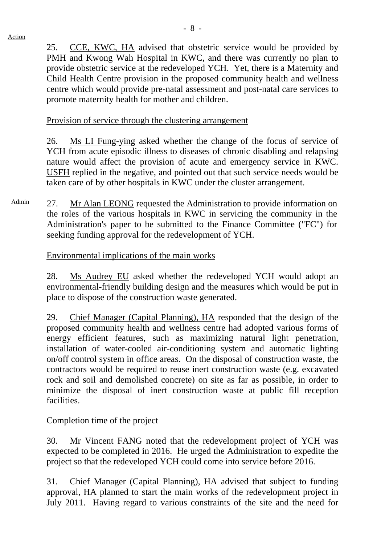25. CCE, KWC, HA advised that obstetric service would be provided by PMH and Kwong Wah Hospital in KWC, and there was currently no plan to provide obstetric service at the redeveloped YCH. Yet, there is a Maternity and Child Health Centre provision in the proposed community health and wellness centre which would provide pre-natal assessment and post-natal care services to promote maternity health for mother and children.

## Provision of service through the clustering arrangement

26. Ms LI Fung-ying asked whether the change of the focus of service of YCH from acute episodic illness to diseases of chronic disabling and relapsing nature would affect the provision of acute and emergency service in KWC. USFH replied in the negative, and pointed out that such service needs would be taken care of by other hospitals in KWC under the cluster arrangement.

Admin 27. Mr Alan LEONG requested the Administration to provide information on the roles of the various hospitals in KWC in servicing the community in the Administration's paper to be submitted to the Finance Committee ("FC") for seeking funding approval for the redevelopment of YCH.

# Environmental implications of the main works

28. Ms Audrey EU asked whether the redeveloped YCH would adopt an environmental-friendly building design and the measures which would be put in place to dispose of the construction waste generated.

29. Chief Manager (Capital Planning), HA responded that the design of the proposed community health and wellness centre had adopted various forms of energy efficient features, such as maximizing natural light penetration, installation of water-cooled air-conditioning system and automatic lighting on/off control system in office areas. On the disposal of construction waste, the contractors would be required to reuse inert construction waste (e.g. excavated rock and soil and demolished concrete) on site as far as possible, in order to minimize the disposal of inert construction waste at public fill reception facilities.

# Completion time of the project

30. Mr Vincent FANG noted that the redevelopment project of YCH was expected to be completed in 2016. He urged the Administration to expedite the project so that the redeveloped YCH could come into service before 2016.

31. Chief Manager (Capital Planning), HA advised that subject to funding approval, HA planned to start the main works of the redevelopment project in July 2011. Having regard to various constraints of the site and the need for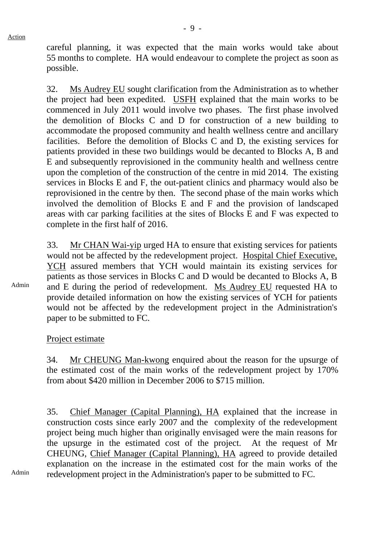careful planning, it was expected that the main works would take about 55 months to complete. HA would endeavour to complete the project as soon as possible.

32. Ms Audrey EU sought clarification from the Administration as to whether the project had been expedited. USFH explained that the main works to be commenced in July 2011 would involve two phases. The first phase involved the demolition of Blocks C and D for construction of a new building to accommodate the proposed community and health wellness centre and ancillary facilities. Before the demolition of Blocks C and D, the existing services for patients provided in these two buildings would be decanted to Blocks A, B and E and subsequently reprovisioned in the community health and wellness centre upon the completion of the construction of the centre in mid 2014. The existing services in Blocks E and F, the out-patient clinics and pharmacy would also be reprovisioned in the centre by then. The second phase of the main works which involved the demolition of Blocks E and F and the provision of landscaped areas with car parking facilities at the sites of Blocks E and F was expected to complete in the first half of 2016.

33. Mr CHAN Wai-yip urged HA to ensure that existing services for patients would not be affected by the redevelopment project. Hospital Chief Executive, YCH assured members that YCH would maintain its existing services for patients as those services in Blocks C and D would be decanted to Blocks A, B and E during the period of redevelopment. Ms Audrey EU requested HA to provide detailed information on how the existing services of YCH for patients would not be affected by the redevelopment project in the Administration's paper to be submitted to FC.

Project estimate

34. Mr CHEUNG Man-kwong enquired about the reason for the upsurge of the estimated cost of the main works of the redevelopment project by 170% from about \$420 million in December 2006 to \$715 million.

35. Chief Manager (Capital Planning), HA explained that the increase in construction costs since early 2007 and the complexity of the redevelopment project being much higher than originally envisaged were the main reasons for the upsurge in the estimated cost of the project. At the request of Mr CHEUNG, Chief Manager (Capital Planning), HA agreed to provide detailed explanation on the increase in the estimated cost for the main works of the redevelopment project in the Administration's paper to be submitted to FC.

Admin

Admin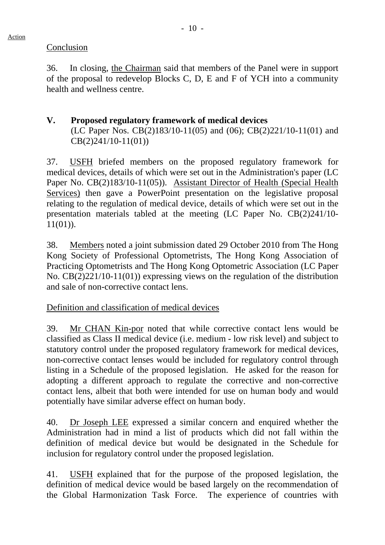Conclusion

36. In closing, the Chairman said that members of the Panel were in support of the proposal to redevelop Blocks C, D, E and F of YCH into a community health and wellness centre.

## **V. Proposed regulatory framework of medical devices**  (LC Paper Nos. CB(2)183/10-11(05) and (06); CB(2)221/10-11(01) and CB(2)241/10-11(01))

37. USFH briefed members on the proposed regulatory framework for medical devices, details of which were set out in the Administration's paper (LC Paper No. CB(2)183/10-11(05)). Assistant Director of Health (Special Health Services) then gave a PowerPoint presentation on the legislative proposal relating to the regulation of medical device, details of which were set out in the presentation materials tabled at the meeting (LC Paper No. CB(2)241/10- 11(01)).

38. Members noted a joint submission dated 29 October 2010 from The Hong Kong Society of Professional Optometrists, The Hong Kong Association of Practicing Optometrists and The Hong Kong Optometric Association (LC Paper No. CB(2)221/10-11(01)) expressing views on the regulation of the distribution and sale of non-corrective contact lens.

# Definition and classification of medical devices

39. Mr CHAN Kin-por noted that while corrective contact lens would be classified as Class II medical device (i.e. medium - low risk level) and subject to statutory control under the proposed regulatory framework for medical devices, non-corrective contact lenses would be included for regulatory control through listing in a Schedule of the proposed legislation. He asked for the reason for adopting a different approach to regulate the corrective and non-corrective contact lens, albeit that both were intended for use on human body and would potentially have similar adverse effect on human body.

40. Dr Joseph LEE expressed a similar concern and enquired whether the Administration had in mind a list of products which did not fall within the definition of medical device but would be designated in the Schedule for inclusion for regulatory control under the proposed legislation.

41. USFH explained that for the purpose of the proposed legislation, the definition of medical device would be based largely on the recommendation of the Global Harmonization Task Force. The experience of countries with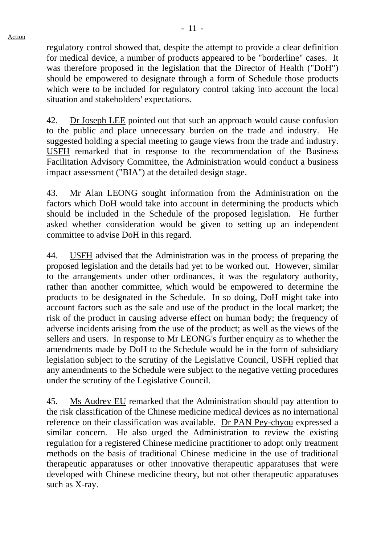regulatory control showed that, despite the attempt to provide a clear definition for medical device, a number of products appeared to be "borderline" cases. It was therefore proposed in the legislation that the Director of Health ("DoH") should be empowered to designate through a form of Schedule those products which were to be included for regulatory control taking into account the local situation and stakeholders' expectations.

42. Dr Joseph LEE pointed out that such an approach would cause confusion to the public and place unnecessary burden on the trade and industry. He suggested holding a special meeting to gauge views from the trade and industry. USFH remarked that in response to the recommendation of the Business Facilitation Advisory Committee, the Administration would conduct a business impact assessment ("BIA") at the detailed design stage.

43. Mr Alan LEONG sought information from the Administration on the factors which DoH would take into account in determining the products which should be included in the Schedule of the proposed legislation. He further asked whether consideration would be given to setting up an independent committee to advise DoH in this regard.

44. USFH advised that the Administration was in the process of preparing the proposed legislation and the details had yet to be worked out. However, similar to the arrangements under other ordinances, it was the regulatory authority, rather than another committee, which would be empowered to determine the products to be designated in the Schedule. In so doing, DoH might take into account factors such as the sale and use of the product in the local market; the risk of the product in causing adverse effect on human body; the frequency of adverse incidents arising from the use of the product; as well as the views of the sellers and users. In response to Mr LEONG's further enquiry as to whether the amendments made by DoH to the Schedule would be in the form of subsidiary legislation subject to the scrutiny of the Legislative Council, USFH replied that any amendments to the Schedule were subject to the negative vetting procedures under the scrutiny of the Legislative Council.

45. Ms Audrey EU remarked that the Administration should pay attention to the risk classification of the Chinese medicine medical devices as no international reference on their classification was available. Dr PAN Pey-chyou expressed a similar concern. He also urged the Administration to review the existing regulation for a registered Chinese medicine practitioner to adopt only treatment methods on the basis of traditional Chinese medicine in the use of traditional therapeutic apparatuses or other innovative therapeutic apparatuses that were developed with Chinese medicine theory, but not other therapeutic apparatuses such as X-ray.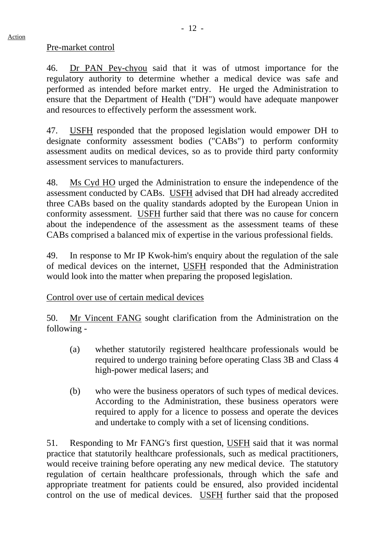#### Pre-market control

46. Dr PAN Pey-chyou said that it was of utmost importance for the regulatory authority to determine whether a medical device was safe and performed as intended before market entry. He urged the Administration to ensure that the Department of Health ("DH") would have adequate manpower and resources to effectively perform the assessment work.

47. USFH responded that the proposed legislation would empower DH to designate conformity assessment bodies ("CABs") to perform conformity assessment audits on medical devices, so as to provide third party conformity assessment services to manufacturers.

48. Ms Cyd HO urged the Administration to ensure the independence of the assessment conducted by CABs. USFH advised that DH had already accredited three CABs based on the quality standards adopted by the European Union in conformity assessment. USFH further said that there was no cause for concern about the independence of the assessment as the assessment teams of these CABs comprised a balanced mix of expertise in the various professional fields.

49. In response to Mr IP Kwok-him's enquiry about the regulation of the sale of medical devices on the internet, USFH responded that the Administration would look into the matter when preparing the proposed legislation.

Control over use of certain medical devices

50. Mr Vincent FANG sought clarification from the Administration on the following -

- (a) whether statutorily registered healthcare professionals would be required to undergo training before operating Class 3B and Class 4 high-power medical lasers; and
- (b) who were the business operators of such types of medical devices. According to the Administration, these business operators were required to apply for a licence to possess and operate the devices and undertake to comply with a set of licensing conditions.

51. Responding to Mr FANG's first question, USFH said that it was normal practice that statutorily healthcare professionals, such as medical practitioners, would receive training before operating any new medical device. The statutory regulation of certain healthcare professionals, through which the safe and appropriate treatment for patients could be ensured, also provided incidental control on the use of medical devices. USFH further said that the proposed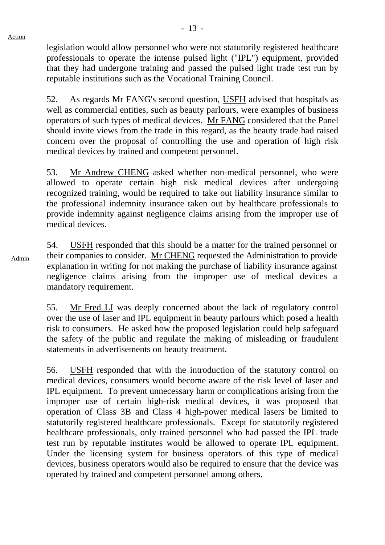legislation would allow personnel who were not statutorily registered healthcare professionals to operate the intense pulsed light ("IPL") equipment, provided that they had undergone training and passed the pulsed light trade test run by reputable institutions such as the Vocational Training Council.

52. As regards Mr FANG's second question, USFH advised that hospitals as well as commercial entities, such as beauty parlours, were examples of business operators of such types of medical devices. Mr FANG considered that the Panel should invite views from the trade in this regard, as the beauty trade had raised concern over the proposal of controlling the use and operation of high risk medical devices by trained and competent personnel.

53. Mr Andrew CHENG asked whether non-medical personnel, who were allowed to operate certain high risk medical devices after undergoing recognized training, would be required to take out liability insurance similar to the professional indemnity insurance taken out by healthcare professionals to provide indemnity against negligence claims arising from the improper use of medical devices.

Admin 54. USFH responded that this should be a matter for the trained personnel or their companies to consider. Mr CHENG requested the Administration to provide explanation in writing for not making the purchase of liability insurance against negligence claims arising from the improper use of medical devices a mandatory requirement.

> 55. Mr Fred LI was deeply concerned about the lack of regulatory control over the use of laser and IPL equipment in beauty parlours which posed a health risk to consumers. He asked how the proposed legislation could help safeguard the safety of the public and regulate the making of misleading or fraudulent statements in advertisements on beauty treatment.

> 56. USFH responded that with the introduction of the statutory control on medical devices, consumers would become aware of the risk level of laser and IPL equipment. To prevent unnecessary harm or complications arising from the improper use of certain high-risk medical devices, it was proposed that operation of Class 3B and Class 4 high-power medical lasers be limited to statutorily registered healthcare professionals. Except for statutorily registered healthcare professionals, only trained personnel who had passed the IPL trade test run by reputable institutes would be allowed to operate IPL equipment. Under the licensing system for business operators of this type of medical devices, business operators would also be required to ensure that the device was operated by trained and competent personnel among others.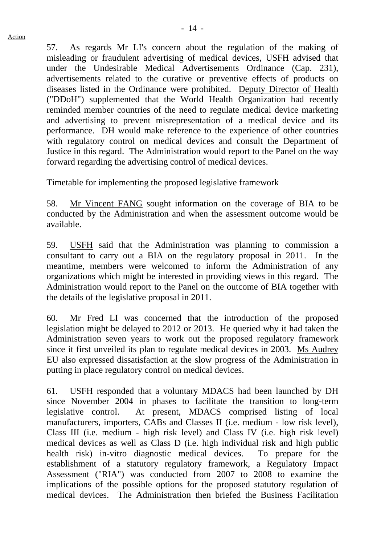57. As regards Mr LI's concern about the regulation of the making of misleading or fraudulent advertising of medical devices, USFH advised that under the Undesirable Medical Advertisements Ordinance (Cap. 231), advertisements related to the curative or preventive effects of products on diseases listed in the Ordinance were prohibited. Deputy Director of Health ("DDoH") supplemented that the World Health Organization had recently reminded member countries of the need to regulate medical device marketing and advertising to prevent misrepresentation of a medical device and its performance. DH would make reference to the experience of other countries with regulatory control on medical devices and consult the Department of Justice in this regard. The Administration would report to the Panel on the way forward regarding the advertising control of medical devices.

Timetable for implementing the proposed legislative framework

58. Mr Vincent FANG sought information on the coverage of BIA to be conducted by the Administration and when the assessment outcome would be available.

59. USFH said that the Administration was planning to commission a consultant to carry out a BIA on the regulatory proposal in 2011. In the meantime, members were welcomed to inform the Administration of any organizations which might be interested in providing views in this regard. The Administration would report to the Panel on the outcome of BIA together with the details of the legislative proposal in 2011.

60. Mr Fred LI was concerned that the introduction of the proposed legislation might be delayed to 2012 or 2013. He queried why it had taken the Administration seven years to work out the proposed regulatory framework since it first unveiled its plan to regulate medical devices in 2003. Ms Audrey EU also expressed dissatisfaction at the slow progress of the Administration in putting in place regulatory control on medical devices.

61. USFH responded that a voluntary MDACS had been launched by DH since November 2004 in phases to facilitate the transition to long-term legislative control. At present, MDACS comprised listing of local manufacturers, importers, CABs and Classes II (i.e. medium - low risk level), Class III (i.e. medium - high risk level) and Class IV (i.e. high risk level) medical devices as well as Class D (i.e. high individual risk and high public health risk) in-vitro diagnostic medical devices. To prepare for the establishment of a statutory regulatory framework, a Regulatory Impact Assessment ("RIA") was conducted from 2007 to 2008 to examine the implications of the possible options for the proposed statutory regulation of medical devices. The Administration then briefed the Business Facilitation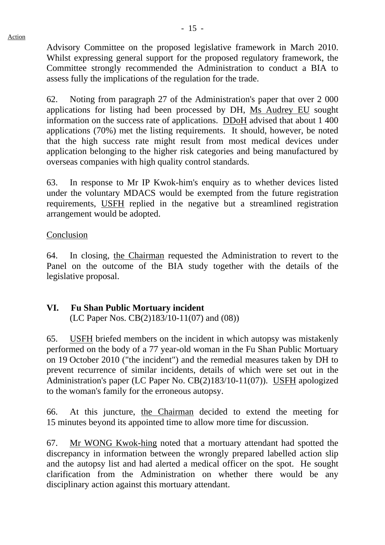Advisory Committee on the proposed legislative framework in March 2010. Whilst expressing general support for the proposed regulatory framework, the Committee strongly recommended the Administration to conduct a BIA to assess fully the implications of the regulation for the trade.

62. Noting from paragraph 27 of the Administration's paper that over 2 000 applications for listing had been processed by DH, Ms Audrey EU sought information on the success rate of applications. DDoH advised that about 1 400 applications (70%) met the listing requirements. It should, however, be noted that the high success rate might result from most medical devices under application belonging to the higher risk categories and being manufactured by overseas companies with high quality control standards.

63. In response to Mr IP Kwok-him's enquiry as to whether devices listed under the voluntary MDACS would be exempted from the future registration requirements, USFH replied in the negative but a streamlined registration arrangement would be adopted.

#### Conclusion

64. In closing, the Chairman requested the Administration to revert to the Panel on the outcome of the BIA study together with the details of the legislative proposal.

# **VI. Fu Shan Public Mortuary incident**

(LC Paper Nos. CB(2)183/10-11(07) and (08))

65. USFH briefed members on the incident in which autopsy was mistakenly performed on the body of a 77 year-old woman in the Fu Shan Public Mortuary on 19 October 2010 ("the incident") and the remedial measures taken by DH to prevent recurrence of similar incidents, details of which were set out in the Administration's paper (LC Paper No. CB(2)183/10-11(07)). USFH apologized to the woman's family for the erroneous autopsy.

66. At this juncture, the Chairman decided to extend the meeting for 15 minutes beyond its appointed time to allow more time for discussion.

67. Mr WONG Kwok-hing noted that a mortuary attendant had spotted the discrepancy in information between the wrongly prepared labelled action slip and the autopsy list and had alerted a medical officer on the spot. He sought clarification from the Administration on whether there would be any disciplinary action against this mortuary attendant.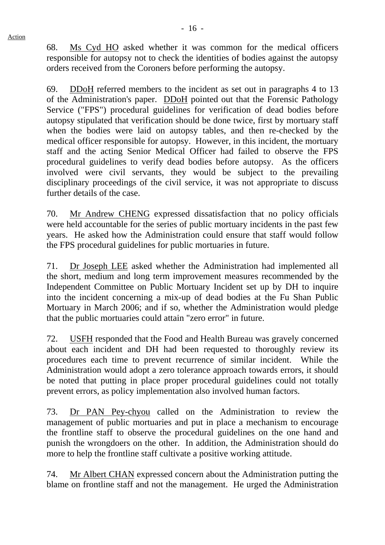68. Ms Cyd HO asked whether it was common for the medical officers responsible for autopsy not to check the identities of bodies against the autopsy orders received from the Coroners before performing the autopsy.

69. DDoH referred members to the incident as set out in paragraphs 4 to 13 of the Administration's paper. DDoH pointed out that the Forensic Pathology Service ("FPS") procedural guidelines for verification of dead bodies before autopsy stipulated that verification should be done twice, first by mortuary staff when the bodies were laid on autopsy tables, and then re-checked by the medical officer responsible for autopsy. However, in this incident, the mortuary staff and the acting Senior Medical Officer had failed to observe the FPS procedural guidelines to verify dead bodies before autopsy. As the officers involved were civil servants, they would be subject to the prevailing disciplinary proceedings of the civil service, it was not appropriate to discuss further details of the case.

70. Mr Andrew CHENG expressed dissatisfaction that no policy officials were held accountable for the series of public mortuary incidents in the past few years. He asked how the Administration could ensure that staff would follow the FPS procedural guidelines for public mortuaries in future.

71. Dr Joseph LEE asked whether the Administration had implemented all the short, medium and long term improvement measures recommended by the Independent Committee on Public Mortuary Incident set up by DH to inquire into the incident concerning a mix-up of dead bodies at the Fu Shan Public Mortuary in March 2006; and if so, whether the Administration would pledge that the public mortuaries could attain "zero error" in future.

72. USFH responded that the Food and Health Bureau was gravely concerned about each incident and DH had been requested to thoroughly review its procedures each time to prevent recurrence of similar incident. While the Administration would adopt a zero tolerance approach towards errors, it should be noted that putting in place proper procedural guidelines could not totally prevent errors, as policy implementation also involved human factors.

73. Dr PAN Pey-chyou called on the Administration to review the management of public mortuaries and put in place a mechanism to encourage the frontline staff to observe the procedural guidelines on the one hand and punish the wrongdoers on the other. In addition, the Administration should do more to help the frontline staff cultivate a positive working attitude.

74. Mr Albert CHAN expressed concern about the Administration putting the blame on frontline staff and not the management. He urged the Administration